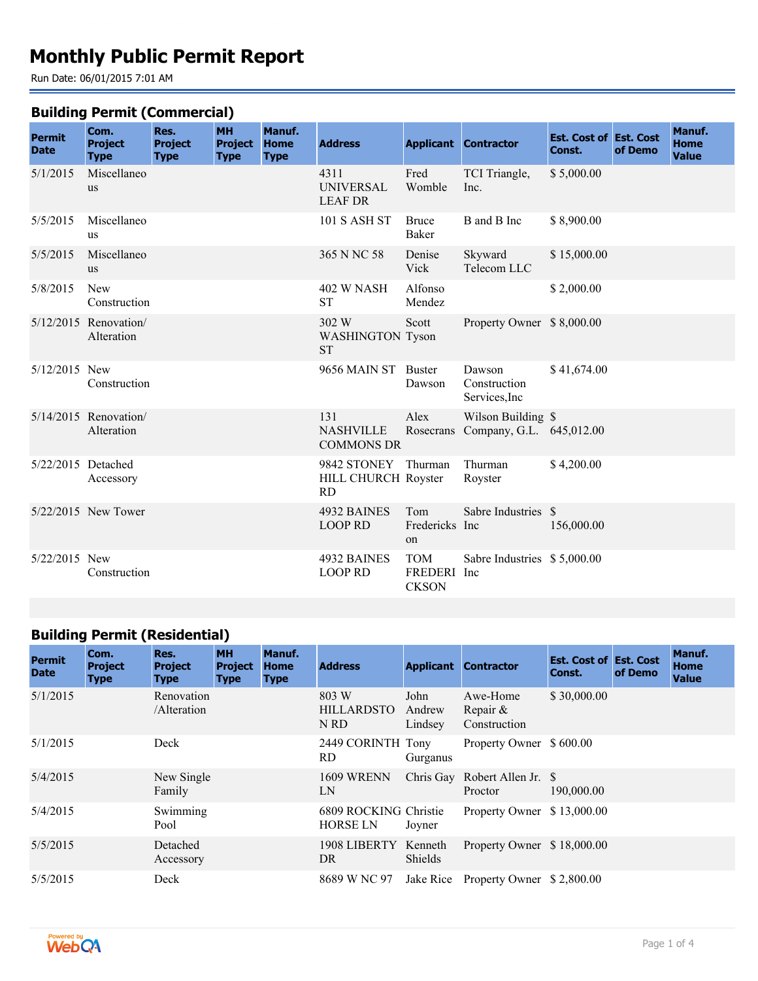# **Monthly Public Permit Report**

Run Date: 06/01/2015 7:01 AM

#### **Building Permit (Commercial)**

| <b>Permit</b><br><b>Date</b> | Com.<br><b>Project</b><br><b>Type</b> | Res.<br><b>Project</b><br><b>Type</b> | <b>MH</b><br><b>Project</b><br><b>Type</b> | Manuf.<br><b>Home</b><br><b>Type</b> | <b>Address</b>                                   |                                           | <b>Applicant Contractor</b>                    | <b>Est. Cost of Est. Cost</b><br>Const. | of Demo | Manuf.<br><b>Home</b><br><b>Value</b> |
|------------------------------|---------------------------------------|---------------------------------------|--------------------------------------------|--------------------------------------|--------------------------------------------------|-------------------------------------------|------------------------------------------------|-----------------------------------------|---------|---------------------------------------|
| 5/1/2015                     | Miscellaneo<br><b>us</b>              |                                       |                                            |                                      | 4311<br><b>UNIVERSAL</b><br><b>LEAF DR</b>       | Fred<br>Womble                            | TCI Triangle,<br>Inc.                          | \$5,000.00                              |         |                                       |
| 5/5/2015                     | Miscellaneo<br>us                     |                                       |                                            |                                      | <b>101 S ASH ST</b>                              | <b>Bruce</b><br>Baker                     | B and B Inc                                    | \$8,900.00                              |         |                                       |
| 5/5/2015                     | Miscellaneo<br><b>us</b>              |                                       |                                            |                                      | 365 N NC 58                                      | Denise<br>Vick                            | Skyward<br>Telecom LLC                         | \$15,000.00                             |         |                                       |
| 5/8/2015                     | <b>New</b><br>Construction            |                                       |                                            |                                      | 402 W NASH<br><b>ST</b>                          | Alfonso<br>Mendez                         |                                                | \$2,000.00                              |         |                                       |
|                              | $5/12/2015$ Renovation/<br>Alteration |                                       |                                            |                                      | 302 W<br><b>WASHINGTON Tyson</b><br><b>ST</b>    | Scott                                     | Property Owner \$8,000.00                      |                                         |         |                                       |
| 5/12/2015 New                | Construction                          |                                       |                                            |                                      | 9656 MAIN ST Buster                              | Dawson                                    | Dawson<br>Construction<br>Services, Inc        | \$41,674.00                             |         |                                       |
|                              | $5/14/2015$ Renovation/<br>Alteration |                                       |                                            |                                      | 131<br><b>NASHVILLE</b><br><b>COMMONS DR</b>     | Alex<br>Rosecrans                         | Wilson Building \$<br>Company, G.L. 645,012.00 |                                         |         |                                       |
| 5/22/2015 Detached           | Accessory                             |                                       |                                            |                                      | 9842 STONEY Thurman<br>HILL CHURCH Royster<br>RD |                                           | Thurman<br>Royster                             | \$4,200.00                              |         |                                       |
|                              | 5/22/2015 New Tower                   |                                       |                                            |                                      | 4932 BAINES<br><b>LOOP RD</b>                    | Tom<br>Fredericks Inc<br>on               | Sabre Industries \$                            | 156,000.00                              |         |                                       |
| 5/22/2015 New                | Construction                          |                                       |                                            |                                      | 4932 BAINES<br><b>LOOP RD</b>                    | <b>TOM</b><br>FREDERI Inc<br><b>CKSON</b> | Sabre Industries \$5,000.00                    |                                         |         |                                       |

## **Building Permit (Residential)**

| <b>Permit</b><br><b>Date</b> | Com.<br><b>Project</b><br><b>Type</b> | Res.<br><b>Project</b><br><b>Type</b> | <b>MH</b><br><b>Project</b><br><b>Type</b> | Manuf.<br><b>Home</b><br><b>Type</b> | <b>Address</b>                           | <b>Applicant</b>          | <b>Contractor</b>                        | <b>Est. Cost of Est. Cost</b><br>Const. | of Demo | Manuf.<br><b>Home</b><br><b>Value</b> |
|------------------------------|---------------------------------------|---------------------------------------|--------------------------------------------|--------------------------------------|------------------------------------------|---------------------------|------------------------------------------|-----------------------------------------|---------|---------------------------------------|
| 5/1/2015                     |                                       | Renovation<br>/Alteration             |                                            |                                      | 803 W<br><b>HILLARDSTO</b><br>N RD       | John<br>Andrew<br>Lindsey | Awe-Home<br>Repair $\&$<br>Construction  | \$30,000.00                             |         |                                       |
| 5/1/2015                     |                                       | Deck                                  |                                            |                                      | 2449 CORINTH Tony<br>RD.                 | Gurganus                  | Property Owner \$600.00                  |                                         |         |                                       |
| 5/4/2015                     |                                       | New Single<br>Family                  |                                            |                                      | <b>1609 WRENN</b><br>LN                  |                           | Chris Gay Robert Allen Jr. \$<br>Proctor | 190,000.00                              |         |                                       |
| 5/4/2015                     |                                       | Swimming<br>Pool                      |                                            |                                      | 6809 ROCKING Christie<br><b>HORSE LN</b> | Joyner                    | Property Owner \$13,000.00               |                                         |         |                                       |
| 5/5/2015                     |                                       | Detached<br>Accessory                 |                                            |                                      | 1908 LIBERTY<br>DR.                      | Kenneth<br><b>Shields</b> | Property Owner \$18,000.00               |                                         |         |                                       |
| 5/5/2015                     |                                       | Deck                                  |                                            |                                      | 8689 W NC 97                             | Jake Rice                 | Property Owner \$2,800.00                |                                         |         |                                       |

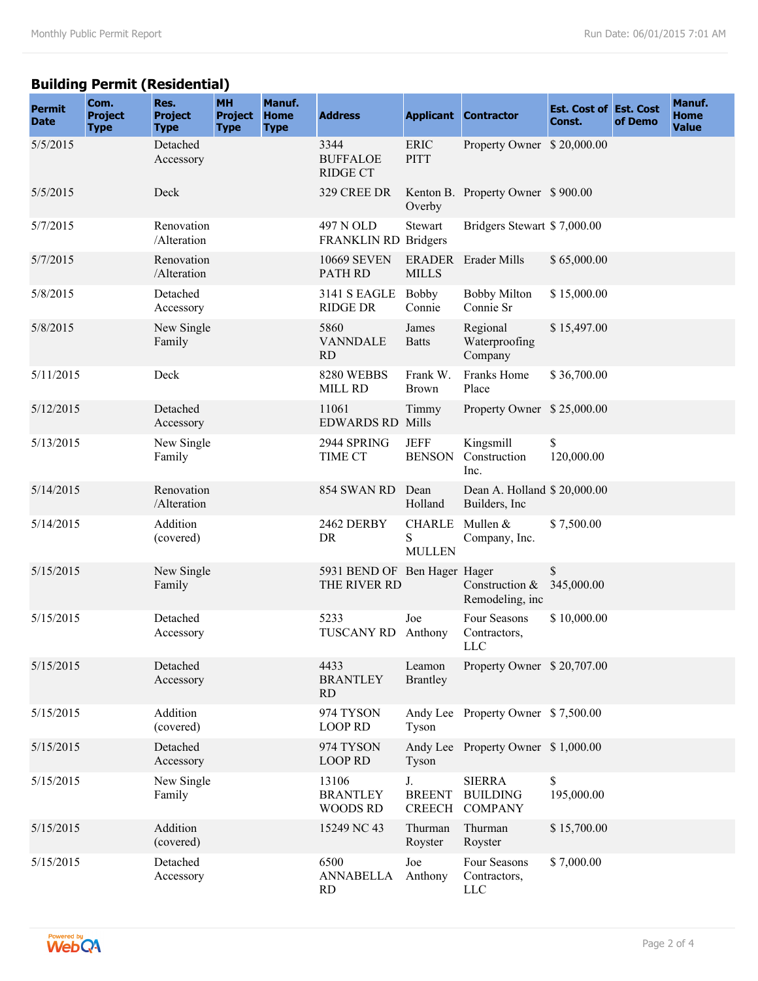## **Building Permit (Residential)**

| <b>Permit</b><br><b>Date</b> | Com.<br><b>Project</b><br><b>Type</b> | Res.<br><b>Project</b><br><b>Type</b> | <b>MH</b><br><b>Project</b><br><b>Type</b> | Manuf.<br><b>Home</b><br><b>Type</b> | <b>Address</b>                               |                                      | <b>Applicant Contractor</b>                        | <b>Est. Cost of Est. Cost</b><br>Const. | of Demo | Manuf.<br><b>Home</b><br><b>Value</b> |
|------------------------------|---------------------------------------|---------------------------------------|--------------------------------------------|--------------------------------------|----------------------------------------------|--------------------------------------|----------------------------------------------------|-----------------------------------------|---------|---------------------------------------|
| 5/5/2015                     |                                       | Detached<br>Accessory                 |                                            |                                      | 3344<br><b>BUFFALOE</b><br><b>RIDGE CT</b>   | <b>ERIC</b><br><b>PITT</b>           | Property Owner \$20,000.00                         |                                         |         |                                       |
| 5/5/2015                     |                                       | Deck                                  |                                            |                                      | 329 CREE DR                                  | Overby                               | Kenton B. Property Owner \$900.00                  |                                         |         |                                       |
| 5/7/2015                     |                                       | Renovation<br>/Alteration             |                                            |                                      | 497 N OLD<br>FRANKLIN RD Bridgers            | <b>Stewart</b>                       | Bridgers Stewart \$7,000.00                        |                                         |         |                                       |
| 5/7/2015                     |                                       | Renovation<br>/Alteration             |                                            |                                      | <b>10669 SEVEN</b><br>PATH RD                | <b>MILLS</b>                         | <b>ERADER</b> Erader Mills                         | \$65,000.00                             |         |                                       |
| 5/8/2015                     |                                       | Detached<br>Accessory                 |                                            |                                      | <b>3141 S EAGLE</b><br><b>RIDGE DR</b>       | Bobby<br>Connie                      | <b>Bobby Milton</b><br>Connie Sr                   | \$15,000.00                             |         |                                       |
| 5/8/2015                     |                                       | New Single<br>Family                  |                                            |                                      | 5860<br><b>VANNDALE</b><br><b>RD</b>         | James<br><b>Batts</b>                | Regional<br>Waterproofing<br>Company               | \$15,497.00                             |         |                                       |
| 5/11/2015                    |                                       | Deck                                  |                                            |                                      | 8280 WEBBS<br>MILL RD                        | Frank W.<br><b>Brown</b>             | Franks Home<br>Place                               | \$36,700.00                             |         |                                       |
| 5/12/2015                    |                                       | Detached<br>Accessory                 |                                            |                                      | 11061<br><b>EDWARDS RD Mills</b>             | Timmy                                | Property Owner \$25,000.00                         |                                         |         |                                       |
| 5/13/2015                    |                                       | New Single<br>Family                  |                                            |                                      | 2944 SPRING<br>TIME CT                       | <b>JEFF</b><br><b>BENSON</b>         | Kingsmill<br>Construction<br>Inc.                  | \$<br>120,000.00                        |         |                                       |
| 5/14/2015                    |                                       | Renovation<br>/Alteration             |                                            |                                      | 854 SWAN RD                                  | Dean<br>Holland                      | Dean A. Holland \$20,000.00<br>Builders, Inc.      |                                         |         |                                       |
| 5/14/2015                    |                                       | Addition<br>(covered)                 |                                            |                                      | 2462 DERBY<br>DR                             | <b>CHARLE</b><br>S<br><b>MULLEN</b>  | Mullen &<br>Company, Inc.                          | \$7,500.00                              |         |                                       |
| 5/15/2015                    |                                       | New Single<br>Family                  |                                            |                                      | 5931 BEND OF Ben Hager Hager<br>THE RIVER RD |                                      | Construction &<br>Remodeling, inc                  | \$<br>345,000.00                        |         |                                       |
| 5/15/2015                    |                                       | Detached<br>Accessory                 |                                            |                                      | 5233<br>TUSCANY RD                           | Joe<br>Anthony                       | Four Seasons<br>Contractors,<br><b>LLC</b>         | \$10,000.00                             |         |                                       |
| 5/15/2015                    |                                       | Detached<br>Accessory                 |                                            |                                      | 4433<br><b>BRANTLEY</b><br>RD                | Leamon<br><b>Brantley</b>            | Property Owner \$20,707.00                         |                                         |         |                                       |
| 5/15/2015                    |                                       | Addition<br>(covered)                 |                                            |                                      | 974 TYSON<br><b>LOOP RD</b>                  | Tyson                                | Andy Lee Property Owner \$7,500.00                 |                                         |         |                                       |
| 5/15/2015                    |                                       | Detached<br>Accessory                 |                                            |                                      | 974 TYSON<br><b>LOOP RD</b>                  | Tyson                                | Andy Lee Property Owner \$1,000.00                 |                                         |         |                                       |
| 5/15/2015                    |                                       | New Single<br>Family                  |                                            |                                      | 13106<br><b>BRANTLEY</b><br><b>WOODS RD</b>  | J.<br><b>BREENT</b><br><b>CREECH</b> | <b>SIERRA</b><br><b>BUILDING</b><br><b>COMPANY</b> | \$<br>195,000.00                        |         |                                       |
| 5/15/2015                    |                                       | Addition<br>(covered)                 |                                            |                                      | 15249 NC 43                                  | Thurman<br>Royster                   | Thurman<br>Royster                                 | \$15,700.00                             |         |                                       |
| 5/15/2015                    |                                       | Detached<br>Accessory                 |                                            |                                      | 6500<br>ANNABELLA<br>RD                      | Joe<br>Anthony                       | Four Seasons<br>Contractors,<br>LLC                | \$7,000.00                              |         |                                       |

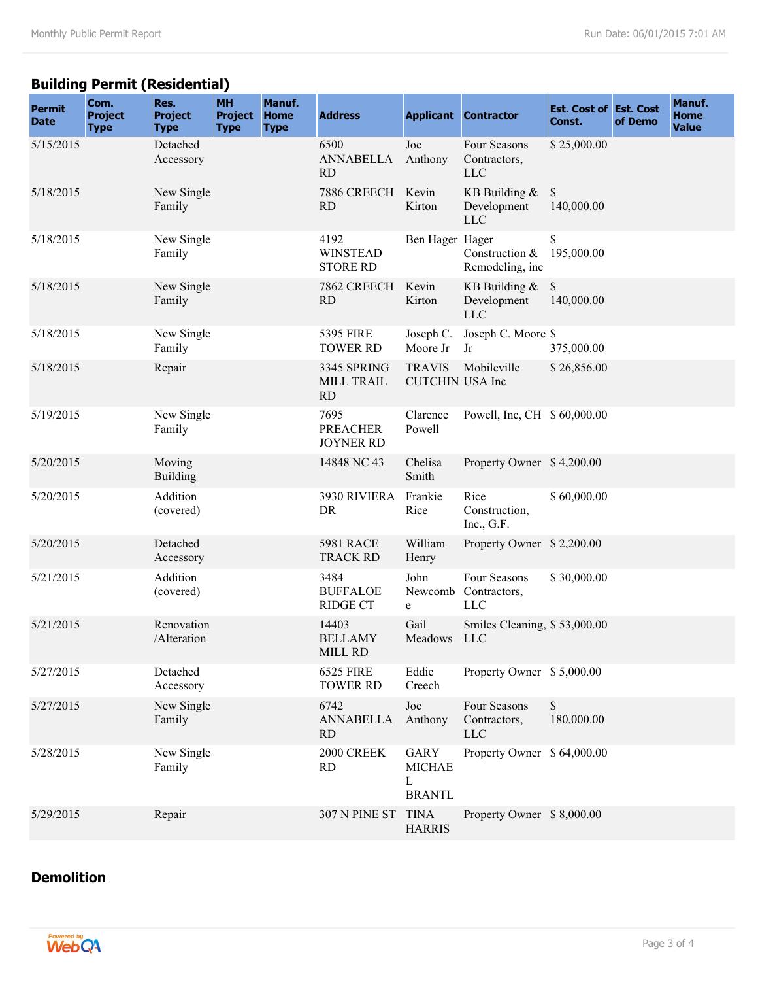## **Building Permit (Residential)**

| <b>Permit</b><br><b>Date</b> | Com.<br><b>Project</b><br><b>Type</b> | Res.<br><b>Project</b><br><b>Type</b> | <b>MH</b><br><b>Project</b><br><b>Type</b> | Manuf.<br>Home<br><b>Type</b> | <b>Address</b>                              |                                                    | <b>Applicant Contractor</b>                  | <b>Est. Cost of Est. Cost</b><br>Const. | of Demo | Manuf.<br><b>Home</b><br><b>Value</b> |
|------------------------------|---------------------------------------|---------------------------------------|--------------------------------------------|-------------------------------|---------------------------------------------|----------------------------------------------------|----------------------------------------------|-----------------------------------------|---------|---------------------------------------|
| 5/15/2015                    |                                       | Detached<br>Accessory                 |                                            |                               | 6500<br>ANNABELLA<br><b>RD</b>              | Joe<br>Anthony                                     | Four Seasons<br>Contractors,<br><b>LLC</b>   | \$25,000.00                             |         |                                       |
| 5/18/2015                    |                                       | New Single<br>Family                  |                                            |                               | 7886 CREECH<br><b>RD</b>                    | Kevin<br>Kirton                                    | KB Building $&$<br>Development<br><b>LLC</b> | \$<br>140,000.00                        |         |                                       |
| 5/18/2015                    |                                       | New Single<br>Family                  |                                            |                               | 4192<br><b>WINSTEAD</b><br><b>STORE RD</b>  | Ben Hager Hager                                    | Construction &<br>Remodeling, inc            | \$<br>195,000.00                        |         |                                       |
| 5/18/2015                    |                                       | New Single<br>Family                  |                                            |                               | 7862 CREECH<br><b>RD</b>                    | Kevin<br>Kirton                                    | KB Building &<br>Development<br>LLC          | \$<br>140,000.00                        |         |                                       |
| 5/18/2015                    |                                       | New Single<br>Family                  |                                            |                               | <b>5395 FIRE</b><br><b>TOWER RD</b>         | Joseph C.<br>Moore Jr                              | Joseph C. Moore \$<br>Jr                     | 375,000.00                              |         |                                       |
| 5/18/2015                    |                                       | Repair                                |                                            |                               | 3345 SPRING<br>MILL TRAIL<br><b>RD</b>      | <b>TRAVIS</b><br><b>CUTCHIN USA Inc</b>            | Mobileville                                  | \$26,856.00                             |         |                                       |
| 5/19/2015                    |                                       | New Single<br>Family                  |                                            |                               | 7695<br><b>PREACHER</b><br><b>JOYNER RD</b> | Clarence<br>Powell                                 | Powell, Inc, CH \$60,000.00                  |                                         |         |                                       |
| 5/20/2015                    |                                       | Moving<br><b>Building</b>             |                                            |                               | 14848 NC 43                                 | Chelisa<br>Smith                                   | Property Owner \$4,200.00                    |                                         |         |                                       |
| 5/20/2015                    |                                       | Addition<br>(covered)                 |                                            |                               | 3930 RIVIERA<br>DR                          | Frankie<br>Rice                                    | Rice<br>Construction,<br>Inc., $G.F.$        | \$60,000.00                             |         |                                       |
| 5/20/2015                    |                                       | Detached<br>Accessory                 |                                            |                               | <b>5981 RACE</b><br><b>TRACK RD</b>         | William<br>Henry                                   | Property Owner \$2,200.00                    |                                         |         |                                       |
| 5/21/2015                    |                                       | Addition<br>(covered)                 |                                            |                               | 3484<br><b>BUFFALOE</b><br><b>RIDGE CT</b>  | John<br>Newcomb<br>e                               | Four Seasons<br>Contractors,<br><b>LLC</b>   | \$30,000.00                             |         |                                       |
| 5/21/2015                    |                                       | Renovation<br>/Alteration             |                                            |                               | 14403<br><b>BELLAMY</b><br>MILL RD          | Gail<br>Meadows                                    | Smiles Cleaning, \$53,000.00<br><b>LLC</b>   |                                         |         |                                       |
| 5/27/2015                    |                                       | Detached<br>Accessory                 |                                            |                               | <b>6525 FIRE</b><br><b>TOWER RD</b>         | Eddie<br>Creech                                    | Property Owner \$5,000.00                    |                                         |         |                                       |
| 5/27/2015                    |                                       | New Single<br>Family                  |                                            |                               | 6742<br><b>ANNABELLA</b><br><b>RD</b>       | Joe<br>Anthony                                     | Four Seasons<br>Contractors,<br><b>LLC</b>   | \$<br>180,000.00                        |         |                                       |
| 5/28/2015                    |                                       | New Single<br>Family                  |                                            |                               | 2000 CREEK<br><b>RD</b>                     | <b>GARY</b><br><b>MICHAE</b><br>L<br><b>BRANTL</b> | Property Owner \$ 64,000.00                  |                                         |         |                                       |
| 5/29/2015                    |                                       | Repair                                |                                            |                               | 307 N PINE ST                               | <b>TINA</b><br><b>HARRIS</b>                       | Property Owner \$8,000.00                    |                                         |         |                                       |

#### **Demolition**